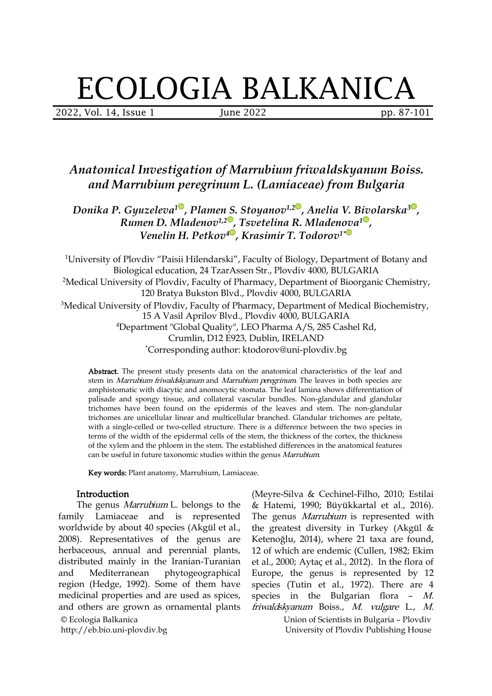# ECOLOGIA BALKANICA

2022, Vol. 14, Issue 1 June 2022 pp. 87-101

# *Anatomical Investigation of Marrubium friwaldskyanum Boiss. and Marrubium peregrinum L. (Lamiaceae) from Bulgaria*

*Donika P. Gyuzeleva 1 , Plamen S. Stoyanov 1,[2](https://orcid.org/0000-0002-5631-1444) , Anelia V. Bivolarska [3](https://orcid.org/0000-0002-2157-3858) , Rumen D. Mladenov 1,2 , Tsvetelina R. Mladenova [1](https://orcid.org/0000-0001-7840-1857) , Venelin H. Petkov 4 , Krasimir T. Todorov 1\**

<sup>1</sup>University of Plovdiv "Paisii Hilendarski", Faculty of Biology, Department of Botany and Biological education, 24 TzarAssen Str., Plovdiv 4000, BULGARIA <sup>2</sup>Medical University of Plovdiv, Faculty of Pharmacy, Department of Bioorganic Chemistry, 120 Bratya Bukston Blvd., Plovdiv 4000, BULGARIA 15 A Vasil Aprilov Blvd., Plovdiv 4000, BULGARIA <sup>4</sup>Department "Global Quality", LEO Pharma A/S, 285 Cashel Rd, Crumlin, D12 E923, Dublin, IRELAND \*Corresponding author: ktodorov@uni-plovdiv.bg <sup>3</sup>Medical University of Plovdiv, Faculty of Pharmacy, Department of Medical Biochemistry,

Abstract. The present study presents data on the anatomical characteristics of the leaf and stem in Marrubium friwaldskyanum and Marrubium peregrinum. The leaves in both species are amphistomatic with diacytic and anomocytic stomata. The leaf lamina shows differentiation of palisade and spongy tissue, and collateral vascular bundles. Non-glandular and glandular trichomes have been found on the epidermis of the leaves and stem. The non-glandular trichomes are unicellular linear and multicellular branched. Glandular trichomes are peltate, with a single-celled or two-celled structure. There is a difference between the two species in terms of the width of the epidermal cells of the stem, the thickness of the cortex, the thickness of the xylem and the phloem in the stem. The established differences in the anatomical features can be useful in future taxonomic studies within the genus Marrubium.

Key words: Plant anatomy, Marrubium, Lamiaceae.

### Introduction

© Ecologia Balkanica The genus *Marrubium* L. belongs to the family Lamiaceae and is represented worldwide by about 40 species (Akgül et al., 2008). Representatives of the genus are herbaceous, annual and perennial plants, distributed mainly in the Iranian-Turanian and Mediterranean phytogeographical region (Hedge, 1992). Some of them have medicinal properties and are used as spices,<br>and others are grown as ornamental plants

http://eb.bio.uni-plovdiv.bg

(Meyre-Silva & Cechinel-Filho, 2010; Estilai & Hatemi, 1990; Büyükkartal et al., 2016). The genus *Marrubium* is represented with the greatest diversity in Turkey (Akgül & Ketenoğlu, 2014), where 21 taxa are found, 12 of which are endemic (Cullen, 1982; Ekim et al., 2000; Aytaç et al., 2012). In the flora of Europe, the genus is represented by 12 species (Tutin et al., 1972). There are 4 species in the Bulgarian flora – M. friwaldskyanum Boiss., M. vulgare L., M.

> Union of Scientists in Bulgaria – Plovdiv University of Plovdiv Publishing House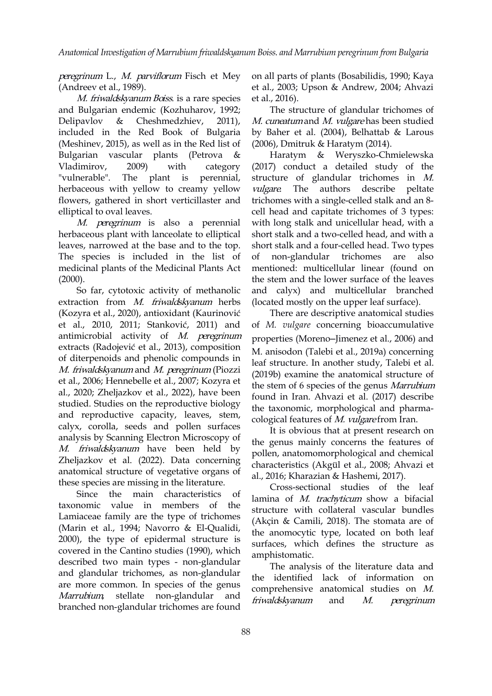peregrinum L., M. parviflorum Fisch et Mey (Andreev et al., 1989).

M. friwaldskyanum Boiss. is a rare species and Bulgarian endemic (Kozhuharov, 1992; Delipavlov & Cheshmedzhiev, 2011), included in the Red Book of Bulgaria (Meshinev, 2015), as well as in the Red list of Bulgarian vascular plants (Petrova "vulnerable". The plant is perennial, herbaceous with yellow to creamy yellow vulgare. The authors flowers, gathered in short v[er](https://orcid.org/0000-0002-0717-2548)ticillaster and elliptical to oval leaves.

M. peregrinum is also a peren[ni](https://orcid.org/0000-0003-2219-761X)al herbaceous plant with lanceolate to ellipti[ca](https://orcid.org/0000-0002-9327-4136)l leaves, narrowed at the base and to the top. The species is included in the list of of medicinal plants of the Medicinal Plants Act  $(2000).$ 

So far, cytotoxic activity of methanolic extraction from M. friwaldskyanum herbs (Kozyra et al., 2020), antioxidant (Kaurinović et al., 2010, 2011; Stanković, 2011) and antimicrobial activity of  $M$ . peregrinum extracts (Radojević et al., 2013), composition of diterpenoids and phenolic compounds in the diasocial (Talesi et al., 2015a) concerning<br>leaf structure. In another study, Talebi et al. M. friwaldskyanum and M. peregrinum (Piozzi et al., 2006; Hennebelle et al., 2007; Kozyra et al., 2020; Zheljazkov et al., 2022), have been studied. Studies on the reproductive biology and reproductive capacity, leaves, stem, calyx, corolla, seeds and pollen surfaces analysis by Scanning Electron Microscopy of M. friwaldskyanum have been held by Zheljazkov et al. (2022). Data concerning anatomical structure of vegetative organs of these species are missing in the literature.

Since the main characteristics of taxonomic value in members of the Lamiaceae family are the type of trichomes (Marin et al., 1994; Navorro & El-Qualidi, 2000), the type of epidermal structure is covered in the Cantino studies (1990), which described two main types - non-glandular and glandular trichomes, as non-glandular are more common. In species of the genus Marrubium, stellate non-glandular and *friwaldskyanum* and branched non-glandular trichomes are found

on all parts of plants (Bosabilidis, 1990; Kaya et al., 2003; Upson & Andrew, 2004; Ahvazi et al., 2016).

The structure of glandular trichomes of M. cuneatum and M. vulgare has been studied by Baher et al. (2004), Belhattab & Larous (2006),Dmitruk & Haratym (2014).

Vladimirov, 2009) with category (2017) conduct a detailed study of the Haratym & Weryszko-Chmielewska structure of glandular trichomes in M. describe peltate trichomes with a single-celled stalk and an 8 cell head [an](https://orcid.org/0000-0002-5631-1444)d capitate trichomes of 3 [ty](https://orcid.org/0000-0002-2157-3858)pes: with long stalk and unicel[lul](https://orcid.org/0000-0001-7840-1857)ar head, with a short stalk and a two-c[ell](https://orcid.org/0000-0003-1344-624X)ed head, and with a short stalk and a four-celled head. Two types of non-glandular trichomes are also mentioned: multicellular linear (found on the stem and the lower surface of the leaves and calyx) and multicellular branched (located mostly on the upper leaf surface).

> There are descriptive anatomical studies of *M. vulgare* concerning bioaccumulative properties (Moreno-Jimenez et al., 2006) and M. anisodon (Talebi et al., 2019a) concerning  $(2019b)$  examine the anatomical structure of the stem of 6 species of the genus Marrubium found in Iran. Ahvazi et al.(2017) describe the taxonomic, morphological and pharma cological features of M. vulgare from Iran.

> It is obvious that at present research on the genus mainly concerns the features of pollen, anatomomorphological and chemical characteristics (Akgül et al., 2008; Ahvazi et al., 2016; Kharazian & Hashemi, 2017).

> Cross-sectional studies of the leaf lamina of M. trachyticum show a bifacial structure with collateral vascular bundles (Akçin & Camili, 2018). The stomata are of the anomocytic type, located on both leaf surfaces, which defines the structure as amphistomatic.

> The analysis of the literature data and the identified lack of information on comprehensive anatomical studies on M. friwaldskyanum and M. peregrinum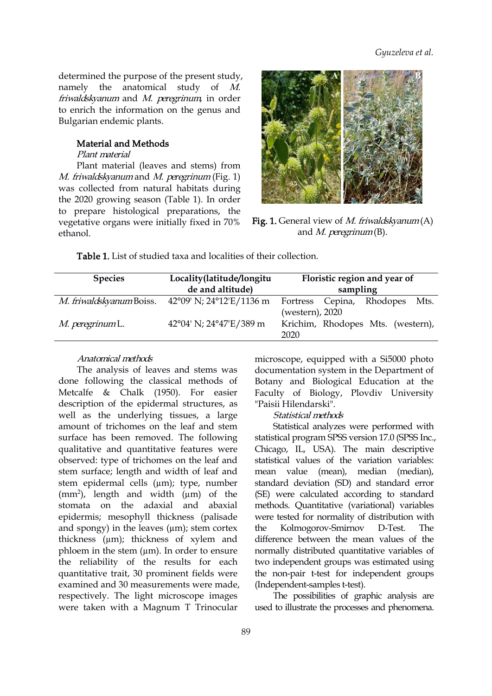determined the purpose of the present study, namely the anatomical study of M. friwaldskyanum and M. peregrinum, in order to enrich the information on the genus and Bulgarian endemic plants.

### Material and Methods

Plant material

Plant material (leaves and stems) from M. friwaldskyanum and M. peregrinum (Fig. 1) was collected from natural habitats during the 2020 growing season (Table 1). In order to prepare histological pr[ep](https://orcid.org/0000-0002-0717-2548)arations, the vegetative organs were initially fixed in [70%](https://orcid.org/0000-0003-2219-761X) ethanol. Fig. 1. General view of M. [friw](https://orcid.org/0000-0001-7840-1857)aldskyanum(A)



and M. pere[gri](https://orcid.org/0000-0003-1344-624X)num(B).

Table 1. List of studied taxa and localities of their collection.

| <b>Species</b>          | Locality(latitude/longitu<br>de and altitude)                       | Floristic region and year of<br>sampling                     |  |  |  |  |  |
|-------------------------|---------------------------------------------------------------------|--------------------------------------------------------------|--|--|--|--|--|
|                         | M. friwaldskyanum Boiss. $42^{\circ}09'$ N; $24^{\circ}12'E/1136$ m | Fortress Cepina, Rhodopes<br>Mts.                            |  |  |  |  |  |
| <i>M. peregrinum</i> L. | 42°04' N; 24°47'E/389 m                                             | (western), 2020<br>Krichim, Rhodopes Mts. (western),<br>2020 |  |  |  |  |  |

# Anatomical methods

The analysis of leaves and stems was done following the classical methods of Metcalfe & Chalk (1950). For easier description of the epidermal structures, as well as the underlying tissues, a large amount of trichomes on the leaf and stem surface has been removed. The following statistical program SPSS version 17.0 (SPSS Inc., qualitative and quantitative features were observed: type of trichomes on the leaf and stem surface; length and width of leaf and stem epidermal cells (µm); type, number  $(mm<sup>2</sup>)$ , length and width  $(um)$  of the stomata on the adaxial and abaxial epidermis; mesophyll thickness (palisade and spongy) in the leaves  $(\mu m)$ ; stem cortex the thickness (µm); thickness of xylem and phloem in the stem  $(\mu m)$ . In order to ensure the reliability of the results for each quantitative trait, 30 prominent fields were examined and 30 measurements were made, respectively. The light microscope images were taken with a Magnum T Trinocular

microscope, equipped with a Si5000 photo documentation system in the Department of Botany and Biological Education at the Faculty of Biology, Plovdiv University "Paisii Hilendarski".

#### Statistical methods

Statistical analyzes were performed with Chicago, IL, USA). The main descriptive statistical values of the variation variables: mean value (mean), median (median), standard deviation (SD) and standard error (SE) were calculated according to standard methods. Quantitative (variational) variables were tested for normality of distribution with Kolmogorov-Smirnov D-Test. The difference between the mean values of the normally distributed quantitative variables of two independent groups was estimated using the non-pair t-test for independent groups (Independent-samples t-test).

The possibilities of graphic analysis are used to illustrate the processes and phenomena.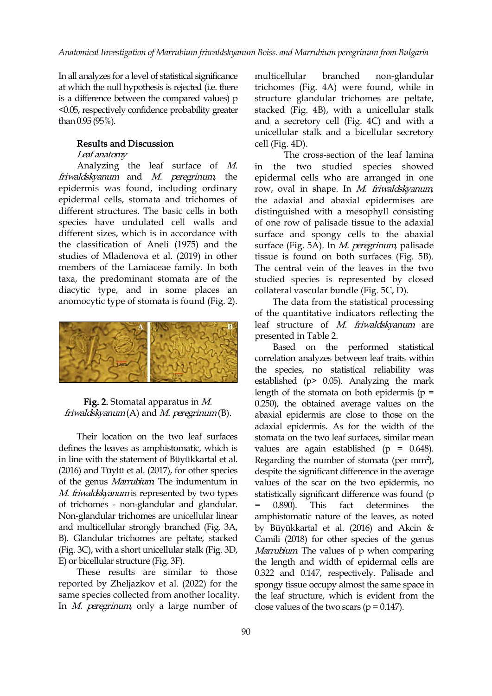In all analyzes for a level of statistical significance at which the null hypothesis is rejected (i.e. there is a difference between the compared values) p <0.05, respectively confidence probability greater than 0.95 (95%).

# Results and Discussion

## Leaf anatomy

Analyzing the leaf surface of M. friwaldskyanum and M. peregrinum, the epidermis was found, including ordinary epidermal cells, stomata and trichomes of different structures. The bas[ic](https://orcid.org/0000-0002-0717-2548) cells in both species have undulated cell walls a[nd](https://orcid.org/0000-0003-2219-761X) different sizes, which is in accordance wi[th](https://orcid.org/0000-0002-9327-4136) the classification of Aneli (1975) and the studies of Mladenova et al.(2019) in other members of the Lamiaceae family. In both taxa, the predominant stomata are of the diacytic type, and in some places an anomocytic type of stomata is found (Fig. 2).



# Fig. 2. Stomatal apparatus in M. friwaldskyanum $(A)$  and M. peregrinum $(B)$ .

Their location on the two leaf surfaces defines the leaves as amphistomatic, which is in line with the statement of Büyükkartal et al. (2016) and Tüylü et al. (2017), for other species of the genus Marrubium. The indumentum in M. friwaldskyanum is represented by two types of trichomes - non-glandular and glandular. Non-glandular trichomes are unicellular linear and multicellular strongly branched (Fig. 3A, B). Glandular trichomes are peltate, stacked (Fig. 3C), with a short unicellular stalk (Fig. 3D, E) or bicellular structure (Fig. 3F).

These results are similar to those reported by Zheljazkov et al.(2022) for the same species collected from another locality. In M. peregrinum, only a large number of

branched non-glandular trichomes (Fig. 4A) were found, while in structure glandular trichomes are peltate, stacked (Fig. 4B), with a unicellular stalk and a secretory cell (Fig. 4C) and with a unicellular stalk and a bicellular secretory cell (Fig. 4D).

The cross-section of the leaf lamina in the two studied species showed epidermal cells who are arranged in one row, oval in shape. In M. friwaldskyanum, the adaxial and abaxial epidermises are distinguis[he](https://orcid.org/0000-0002-5631-1444)d with a mesophyll con[sis](https://orcid.org/0000-0002-2157-3858)ting of one row of palisade tis[su](https://orcid.org/0000-0001-7840-1857)e to the adaxial surface and spongy [ce](https://orcid.org/0000-0003-1344-624X)lls to the abaxial surface (Fig. 5A). In *M. peregrinum*, palisade tissue is found on both surfaces (Fig. 5B). The central vein of the leaves in the two studied species is represented by closed collateral vascular bundle (Fig. 5C, D).

The data from the statistical processing of the quantitative indicators reflecting the leaf structure of M. friwaldskyanum are presented in Table 2.

Based on the performed statistical correlation analyzes between leaf traits within the species, no statistical reliability was established (p> 0.05). Analyzing the mark length of the stomata on both epidermis  $(p =$ 0.250), the obtained average values on the abaxial epidermis are close to those on the adaxial epidermis. As for the width of the stomata on the two leaf surfaces, similar mean values are again established (p = 0.648). Regarding the number of stomata (per mm<sup>2</sup>), despite the significant difference in the average values of the scar on the two epidermis, no statistically significant difference was found (p This fact determines the amphistomatic nature of the leaves, as noted by Büyükkartal et al. (2016) and Akcin & Camili (2018) for other species of the genus Marrubium. The values of p when comparing the length and width of epidermal cells are 0.322 and 0.147, respectively. Palisade and spongy tissue occupy almost the same space in the leaf structure, which is evident from the close values of the two scars ( $p = 0.147$ ).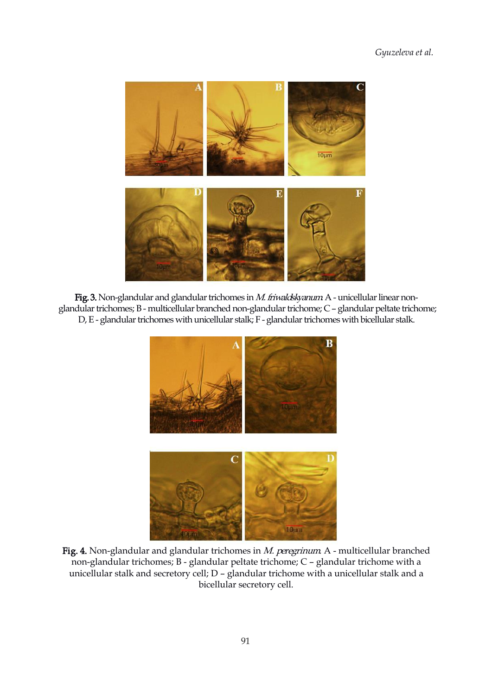

Fig. 3. Non-glandular and glandular trichomes in M. friwaldskyanum A - unicellular linear nonglandular trichomes; B - multicellular branched non-glandular trichome; C - glandular peltate trichome; D, E - glandular trichomes with unicellular stalk; F - glandular trichomes with bicellular stalk.



Fig. 4. Non-glandular and glandular trichomes in M. peregrinum A - multicellular branched non-glandular trichomes; B - glandular peltate trichome; C – glandular trichome with a unicellular stalk and secretory cell; D – glandular trichome with a unicellular stalk and a bicellular secretory cell.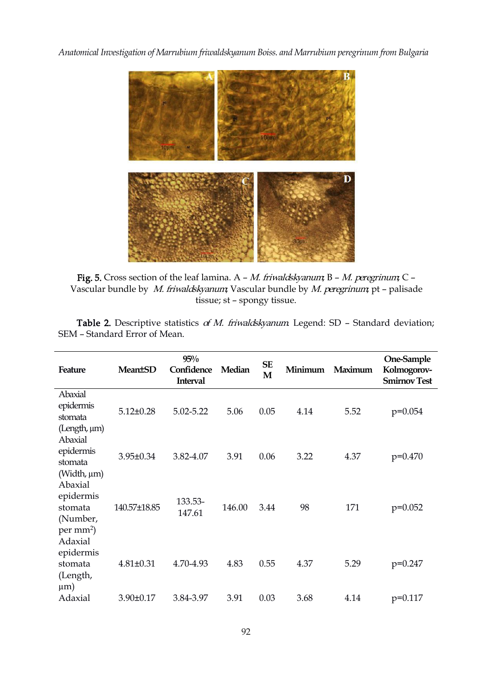

Fig. 5. Cross section of the leaf lamina.  $A - M$ . friwaldskyanum; B - M. peregrinum; C -Vascular bundle by M. friwaldskyanum; Vascular bundle by M. peregrinum; pt – palisade tissue; st – spongy tissue.

Table 2. Descriptive statistics of M. friwaldskyanum Legend: SD - Standard deviation; SEM – Standard Error of Mean.

| Feature                                                               | <b>Mean</b> <sup>t</sup> SD | 95%<br>Confidence<br><b>Interval</b> | Median | <b>SE</b><br>M | Minimum | Maximum | One-Sample<br>Kolmogorov-<br><b>Smirnov Test</b> |
|-----------------------------------------------------------------------|-----------------------------|--------------------------------------|--------|----------------|---------|---------|--------------------------------------------------|
| Abaxial<br>epidermis<br>stomata<br>(Length, µm)                       | $5.12 \pm 0.28$             | 5.02-5.22                            | 5.06   | 0.05           | 4.14    | 5.52    | $p=0.054$                                        |
| Abaxial<br>epidermis<br>stomata<br>(Width, µm)                        | 3.95±0.34                   | 3.82-4.07                            | 3.91   | 0.06           | 3.22    | 4.37    | $p=0.470$                                        |
| Abaxial<br>epidermis<br>stomata<br>(Number,<br>$per \, \text{mm}^2$ ) | 140.57±18.85                | 133.53-<br>147.61                    | 146.00 | 3.44           | 98      | 171     | $p=0.052$                                        |
| Adaxial<br>epidermis<br>stomata<br>(Length,<br>$\mu$ m)               | $4.81 \pm 0.31$             | 4.70-4.93                            | 4.83   | 0.55           | 4.37    | 5.29    | $p=0.247$                                        |
| Adaxial                                                               | $3.90 \pm 0.17$             | 3.84-3.97                            | 3.91   | 0.03           | 3.68    | 4.14    | $p=0.117$                                        |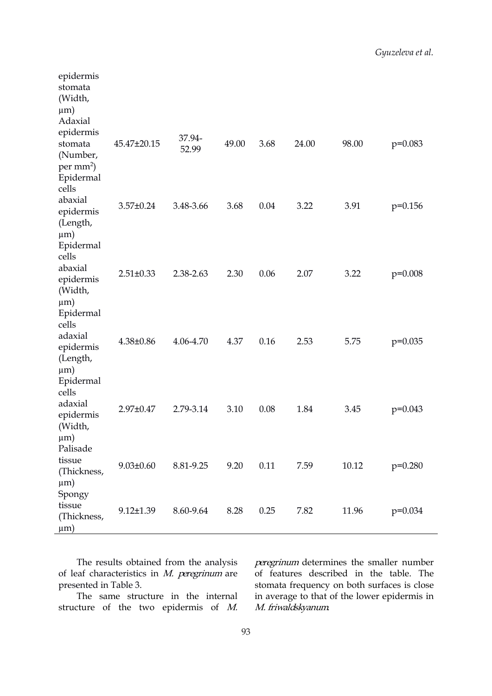| epidermis<br>stomata<br>(Width,<br>$\mu$ m)<br>Adaxial                  |                 |                 |       |      |       |       |           |  |
|-------------------------------------------------------------------------|-----------------|-----------------|-------|------|-------|-------|-----------|--|
| epidermis<br>stomata<br>(Number,<br>$per \, \text{mm}^2$ )<br>Epidermal | 45.47±20.15     | 37.94-<br>52.99 | 49.00 | 3.68 | 24.00 | 98.00 | $p=0.083$ |  |
| cells<br>abaxial<br>epidermis<br>(Length,<br>$\mu$ m)                   | 3.57±0.24       | 3.48-3.66       | 3.68  | 0.04 | 3.22  | 3.91  | $p=0.156$ |  |
| Epidermal<br>cells<br>abaxial<br>epidermis<br>(Width,<br>$\mu$ m)       | $2.51 \pm 0.33$ | 2.38-2.63       | 2.30  | 0.06 | 2.07  | 3.22  | $p=0.008$ |  |
| Epidermal<br>cells<br>adaxial<br>epidermis<br>(Length,<br>$\mu$ m)      | $4.38 \pm 0.86$ | 4.06-4.70       | 4.37  | 0.16 | 2.53  | 5.75  | $p=0.035$ |  |
| Epidermal<br>cells<br>adaxial<br>epidermis<br>(Width,<br>$\mu$ m)       | 2.97±0.47       | 2.79-3.14       | 3.10  | 0.08 | 1.84  | 3.45  | $p=0.043$ |  |
| Palisade<br>tissue<br>(Thickness,<br>$\mu$ m)                           | $9.03 \pm 0.60$ | 8.81-9.25       | 9.20  | 0.11 | 7.59  | 10.12 | $p=0.280$ |  |
| Spongy<br>tissue<br>(Thickness,<br>$\mu$ m)                             | $9.12 \pm 1.39$ | 8.60-9.64       | 8.28  | 0.25 | 7.82  | 11.96 | $p=0.034$ |  |

of leaf characteristics in  $M$ . peregrinum are presented in Table 3.

The same structure in the internal

The results obtained from the analysis peregrinum determines the smaller number The results obtained from the analysis peregrinum determines the smaller number<br>of leaf characteristics in *M. peregrinum* are of features described in the table. The<br>presented in Table 3.<br>The same structure in the interna of features described in the table. The stomata frequency on both surfaces is close in average to that of the lower epidermis in M. friwaldskyanum.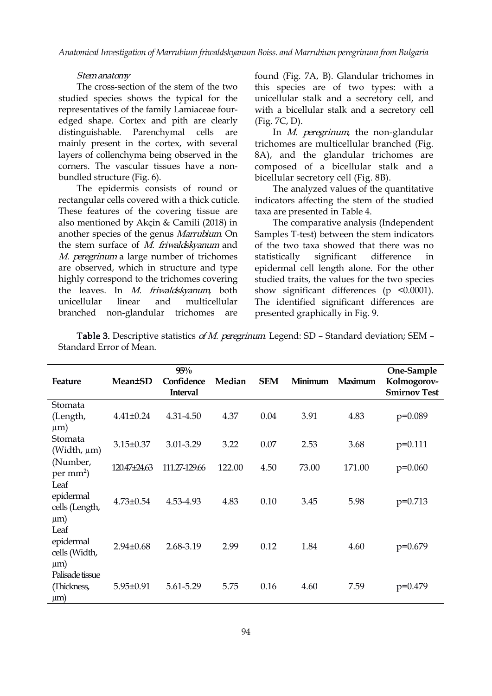### Stemanatomy

The cross-section of the stem of the two studied species shows the typical for the representatives of the family Lamiaceae four edged shape. Cortex and pith are clearly distinguishable. Parenchymal cells are mainly present in the cortex, with several layers of collenchyma being observed in the corners. The vascular tissues have a non bundled structure (Fig. 6).

The epidermis consists of round or rectangular cells covered with a thick cuticle. These features of the cover[in](https://orcid.org/0000-0002-0717-2548)g tissue are also mentioned by Akçin & Camili (2018) [in](https://orcid.org/0000-0003-2219-761X) another species of the genus Marrubium. [On](https://orcid.org/0000-0002-9327-4136) the stem surface of  $M$ . friwaldskyanum and M. peregrinum a large number of trichomes are observed, which in structure and type highly correspond to the trichomes covering the leaves. In *M. friwaldskyanum* both unicellular linear and multicellular The identified significant differences are branched non-glandular trichomes are

found (Fig. 7A, B). Glandular trichomes in this species are of two types: with a unicellular stalk and a secretory cell, and with a bicellular stalk and a secretory cell (Fig. 7C, D).

In M. peregrinum, the non-glandular trichomes are multicellular branched (Fig. 8A), and the glandular trichomes are composed of a bicellular stalk and a bicellular secretory cell (Fig. 8B).

The analyzed values of the quantitative indicators affecting the stem of the st[ud](https://orcid.org/0000-0002-2157-3858)ied taxa are p[re](https://orcid.org/0000-0002-5631-1444)sented in Table 4.

The comparative anal[ys](https://orcid.org/0000-0001-7840-1857)is (Independent Samples T-test) betwe[en](https://orcid.org/0000-0003-1344-624X) the stem indicators of the two taxa showed that there was no statistically significant difference in epidermal cell length alone. For the other studied traits, the values for the two species show significant differences (p <0.0001). presented graphically in Fig. 9.

Table 3. Descriptive statistics of M. peregrinum Legend: SD - Standard deviation; SEM -Standard Error of Mean.

| Feature                                         | <b>Mean±SD</b>  | $95\%$<br>Confidence<br><b>Interval</b> | Median | <b>SEM</b> | Minimum | Maximum | One-Sample<br>Kolmogorov-<br><b>Smirnov Test</b> |
|-------------------------------------------------|-----------------|-----------------------------------------|--------|------------|---------|---------|--------------------------------------------------|
| Stomata<br>(Length,<br>$\mu$ m)                 | $4.41 \pm 0.24$ | 4.31-4.50                               | 4.37   | 0.04       | 3.91    | 4.83    | $p=0.089$                                        |
| Stomata<br>(Width, µm)                          | 3.15±0.37       | 3.01-3.29                               | 3.22   | 0.07       | 2.53    | 3.68    | $p=0.111$                                        |
| (Number,<br>$per \, \text{mm}^2$ )              | 120.47±24.63    | 111.27-129.66                           | 122.00 | 4.50       | 73.00   | 171.00  | $p=0.060$                                        |
| Leaf<br>epidermal<br>cells (Length,<br>$\mu$ m) | $4.73 \pm 0.54$ | 4.53-4.93                               | 4.83   | 0.10       | 3.45    | 5.98    | $p=0.713$                                        |
| Leaf<br>epidermal<br>cells (Width,<br>$\mu$ m)  | $2.94 \pm 0.68$ | 2.68-3.19                               | 2.99   | 0.12       | 1.84    | 4.60    | $p=0.679$                                        |
| Palisade tissue<br>(Thickness,<br>$\mu$ m)      | $5.95 \pm 0.91$ | 5.61-5.29                               | 5.75   | 0.16       | 4.60    | 7.59    | $p=0.479$                                        |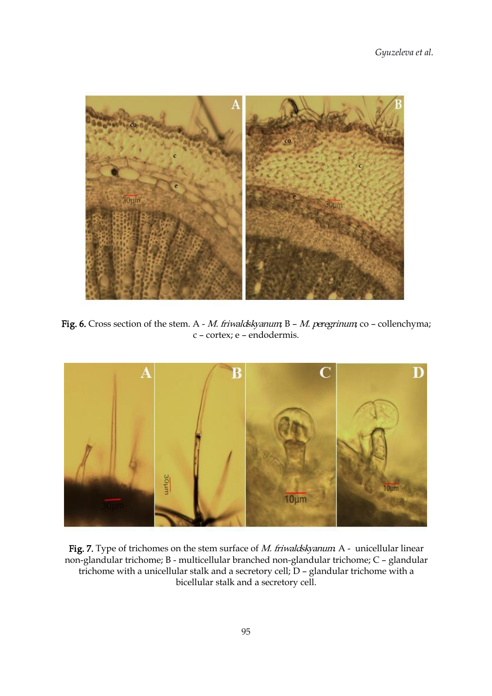

Fig. 6. Cross section of the stem. A - M. friwaldskyanum;  $B - M$ . peregrinum; co – collenchyma; c – cortex; e – endodermis.



Fig. 7. Type of trichomes on the stem surface of  $M$ . friwaldskyanum A - unicellular linear non-glandular trichome; B - multicellular branched non-glandular trichome; C – glandular trichome with a unicellular stalk and a secretory cell; D – glandular trichome with a bicellular stalk and a secretory cell.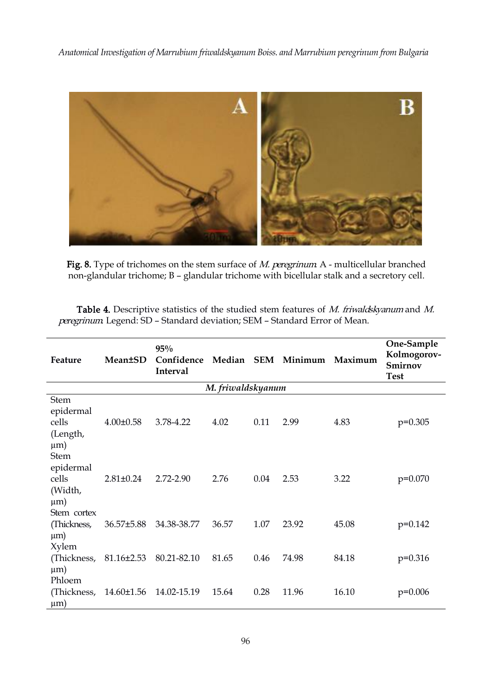

Fig. 8. Type of trichomes on the stem surface of  $M$ . peregrinum A - multicellular branched non-glandular trichome; B – glandular trichome with bicellular stalk and a secretory cell.

Table 4. Descriptive statistics of the studied stem features of M. friwaldskyanum and M. peregrinum Legend: SD - Standard deviation; SEM - Standard Error of Mean.

| Feature                                                  | <b>Mean±SD</b>                      | 95%<br>Confidence Median SEM Minimum Maximum<br>Interval |                   |      |       |       | One-Sample<br>Kolmogorov-<br>Smirnov<br><b>Test</b> |
|----------------------------------------------------------|-------------------------------------|----------------------------------------------------------|-------------------|------|-------|-------|-----------------------------------------------------|
|                                                          |                                     |                                                          | M. friwaldskyanum |      |       |       |                                                     |
| Stem<br>epidermal<br>cells<br>(Length,<br>$\mu$ m)       | $4.00 \pm 0.58$                     | 3.78-4.22                                                | 4.02              | 0.11 | 2.99  | 4.83  | $p=0.305$                                           |
| <b>Stem</b><br>epidermal<br>cells<br>(Width,<br>$\mu$ m) | $2.81 \pm 0.24$                     | 2.72-2.90                                                | 2.76              | 0.04 | 2.53  | 3.22  | $p=0.070$                                           |
| Stem cortex<br>(Thickness,<br>$\mu$ m)                   | 36.57±5.88                          | 34.38-38.77                                              | 36.57             | 1.07 | 23.92 | 45.08 | $p=0.142$                                           |
| Xylem<br>(Thickness,<br>$\mu$ m)<br>Phloem               | $81.16 \pm 2.53$                    | 80.21-82.10                                              | 81.65             | 0.46 | 74.98 | 84.18 | $p=0.316$                                           |
| $\mu$ m)                                                 | (Thickness, 14.60±1.56 14.02-15.19) |                                                          | 15.64             | 0.28 | 11.96 | 16.10 | $p=0.006$                                           |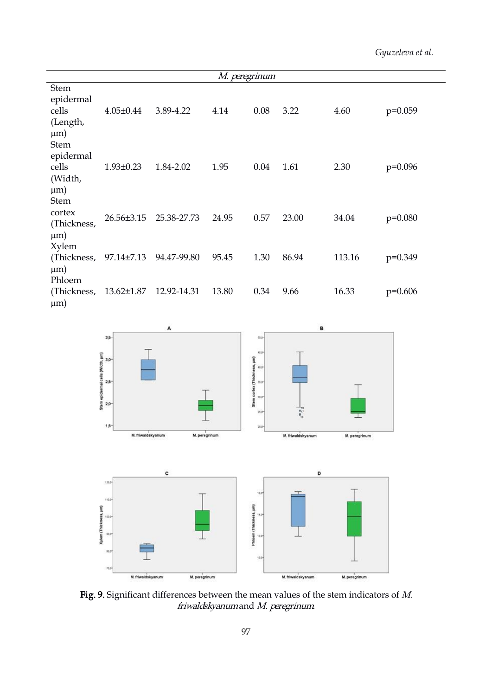*Gyuzeleva et al.*

|                                                           |                 |             | M. peregrinum |      |       |        |           |
|-----------------------------------------------------------|-----------------|-------------|---------------|------|-------|--------|-----------|
| <b>Stem</b><br>epidermal<br>cells<br>(Length,<br>$\mu$ m) | $4.05 \pm 0.44$ | 3.89-4.22   | 4.14          | 0.08 | 3.22  | 4.60   | $p=0.059$ |
| <b>Stem</b><br>epidermal<br>cells<br>(Width,<br>$\mu$ m)  | $1.93 \pm 0.23$ | 1.84-2.02   | 1.95          | 0.04 | 1.61  | 2.30   | $p=0.096$ |
| <b>Stem</b><br>cortex<br>(Thickness,<br>$\mu$ m)          | 26.56±3.15      | 25.38-27.73 | 24.95         | 0.57 | 23.00 | 34.04  | $p=0.080$ |
| <b>Xylem</b><br>(Thickness,<br>$\mu$ m)<br>Phloem         | 97.14±7.13      | 94.47-99.80 | 95.45         | 1.30 | 86.94 | 113.16 | $p=0.349$ |
| (Thickness,<br>$\mu$ m)                                   | 13.62±1.87      | 12.92-14.31 | 13.80         | 0.34 | 9.66  | 16.33  | $p=0.606$ |





Fig. 9. Significant differences between the mean values of the stem indicators of  $M$ . friwaldskyanumand M. peregrinum.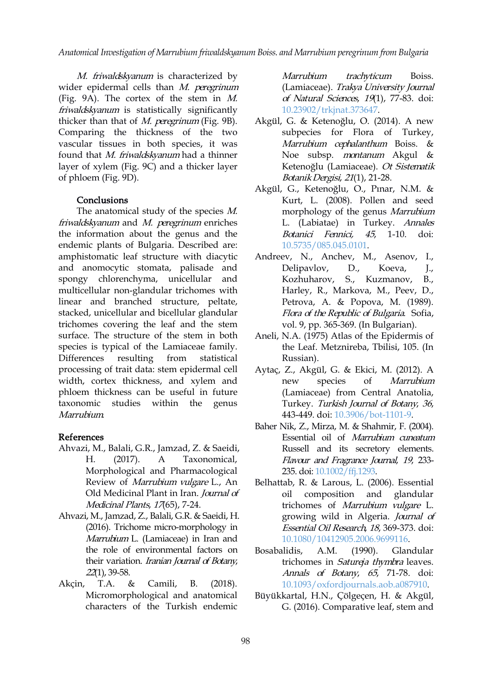M. friwaldskyanum is characterized by Marrubium wider epidermal cells than M. peregrinum (Fig. 9A). The cortex of the stem in M. friwaldskyanum is statistically significantly thicker than that of  $M.$  peregrinum (Fig. 9B). Comparing the thickness of the two vascular tissues in both species, it was found that M. friwaldskyanum had a thinner layer of xylem (Fig. 9C) and a thicker layer of phloem (Fig. 9D).

# **Conclusions**

The anatomical study of [th](https://orcid.org/0000-0002-0717-2548)e species M. friwaldskyanum and M. peregrinum enric[he](https://orcid.org/0000-0003-2219-761X)s the information about the genus and t[he](https://orcid.org/0000-0002-9327-4136) endemic plants of Bulgaria. Described are: amphistomatic leaf structure with diacytic and anomocytic stomata, palisade and spongy chlorenchyma, unicellular and multicellular non-glandular trichomes with linear and branched structure, peltate, stacked, unicellular and bicellular glandular trichomes covering the leaf and the stem surface. The structure of the stem in both species is typical of the Lamiaceae family. Differences resulting from statistical processing of trait data: stem epidermal cell width, cortex thickness, and xylem and mew species of phloem thickness can be useful in future taxonomic studies within the genus Marrubium.

### References

- Ahvazi, M., Balali, G.R., Jamzad, Z. & Saeidi, H. (2017). A Taxonomical, Morphological and Pharmacological Review of Marrubium vulgare L., An Old Medicinal Plant in Iran. Journal of Medicinal Plants, 17(65), 7-24.
- Ahvazi, M., Jamzad, Z., Balali, G.R. & Saeidi, H. (2016). Trichome micro-morphology in Marrubium L. (Lamiaceae) in Iran and the role of environmental factors on Bosabalidis, A.M. their variation. Iranian Journal of Botany, 22(1), 39-58.
- Akçin, T.A. & Camili, B. (2018). Micromorphological and anatomical characters of the Turkish endemic

trachyticum Boiss. (Lamiaceae). Trakya University Journal of Natural Sciences, 19(1), 77-83. [doi:](https://doi.org/10.23902/trkjnat.373647) 10.23902/trkjnat.373647.

- Akgül, G. & Ketenoğlu, O. (2014). A new subpecies for Flora of Turkey, Marrubium cephalanthum Boiss. & Noe subsp. montanum Akgul & Ketenoğlu (Lamiaceae). Ot Sistematik BotanikDergisi, <sup>21</sup>(1), 21-28.
- Akgül, G., Ketenoğlu, O., Pınar, N.M. & Kurt, L. (2008). Pollen and seed m[orp](https://orcid.org/0000-0002-5631-1444)hology of the genus Mar[rub](https://orcid.org/0000-0002-2157-3858)ium L. (Labiatae) in [T](https://orcid.org/0000-0001-7840-1857)urkey. Annales Botanici Fenn[ici,](https://orcid.org/0000-0003-1344-624X) 45, 1-10. [doi:](https://doi.org/10.5735/085.045.0101) 10.5735/085.045.0101.
- Andreev, N., Anchev, M., Asenov, I., Delipavlov, D., Koeva, J., Kozhuharov, S., Kuzmanov, B., Harley, R., Markova, M., Peev, D., Petrova, A. & Popova, M. (1989). Flora of the Republic of Bulgaria. Sofia, vol. 9, pp. 365-369. (In Bulgarian).
- Aneli, N.A. (1975) Atlas of the Epidermis of the Leaf. Metznireba, Tbilisi, 105. (In Russian).
- Aytaç, Z., Akgül, G. & Ekici, M. (2012). A Marrubium (Lamiaceae) from Central Anatolia, Turkey. Turkish Journal of Botany, <sup>36</sup>, 443-449. doi: [10.3906/bot-1101-9.](http://dx.doi.org/10.3906/bot-1101-9)
- Baher Nik, Z., Mirza, M. & Shahmir, F. (2004). Essential oil of Marrubium cuneatum Russell and its secretory elements. Flavour and Fragrance Journal, <sup>19</sup>, 233- 235. doi: [10.1002/ffj.1293.](https://doi.org/10.1002/ffj.1293)
- Belhattab, R. & Larous, L. (2006). Essential composition and glandular trichomes of Marrubium vulgare L. growing wild in Algeria. Journal of Essential Oil Research, 18, 369-373. doi: [10.1080/10412905.2006.9699116.](http://dx.doi.org/10.1080/10412905.2006.9699116)
- Bosabalidis, A.M. (1990). Glandular trichomes in Satureja thymbra leaves. Annals of Botany, <sup>65</sup>, 71-78. [doi:](https://doi.org/10.1093/oxfordjournals.aob.a087910) 10.1093/oxfordjournals.aob.a087910.
- Büyükkartal, H.N., Çölgeçen, H. & Akgül, G. (2016). Comparative leaf, stem and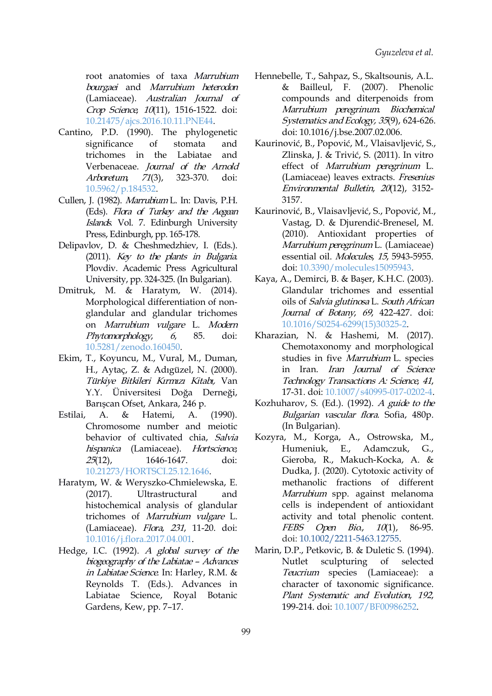root anatomies of taxa Marrubium bourgaei and Marrubium heterodon (Lamiaceae). Australian Journal of Crop Science, 10(11), 1516-1522. doi: [10.21475/ajcs.2016.10.11.PNE44.](http://dx.doi.org/10.21475/ajcs.2016.10.11.PNE44)

- Cantino, P.D. (1990). The phylogenetic trichomes in the Labiatae and Verbenaceae. Journal of the Arnold Arboretum, 71(3), 323-370. doi: [10.5962/p.184532.](http://dx.doi.org/10.5962/p.184532)
- Cullen, J. (1982). Marrubium L. In: Davis, P.H. (Eds). Flora of Turkey [an](https://orcid.org/0000-0002-0717-2548)d the Aegean Islands. Vol. 7. Edinburgh Univer[sity](https://orcid.org/0000-0003-2219-761X) Press, Edinburgh, pp. 165-178.
- Delipavlov, D. & Cheshmedzhiev, I. (Eds.). (2011). Key to the plants in Bulgaria. Plovdiv. Academic Press Agricultural University, pp. 324-325. (In Bulgarian).
- Dmitruk, M. & Haratym, W. (2014). Morphological differentiation of non glandular and glandular trichomes on Marrubium vulgare L. Modern Phytomorphology, 6, 85. doi: [10.5281/zenodo.160450.](http://dx.doi.org/10.5281/zenodo.160450)
- Ekim, T., Koyuncu, M., Vural, M., Duman, H., Aytaç, Z. & Adıgüzel, N. (2000). Türkiye Bitkileri Kırmızı Kitabı, Van Y.Y. Üniversitesi Doğa Derneği, Barışcan Ofset, Ankara, 246 p.
- Estilai, A. & Hatemi, A. (1990). Chromosome number and meiotic behavior of cultivated chia, Salvia hispanica (Lamiaceae). Hortscience, 25(12), 1646-1647. doi: [10.21273/HORTSCI.25.12.1646](https://doi.org/10.21273/HORTSCI.25.12.1646).
- Haratym, W. & Weryszko-Chmielewska, E. (2017). Ultrastructural and histochemical analysis of glandular trichomes of Marrubium vulgare L. (Lamiaceae). Flora, 231, 11-20. doi: [10.1016/j.flora.2017.04.001](http://dx.doi.org/10.1016/j.flora.2017.04.001).
- Hedge, I.C. (1992). <sup>A</sup> global survey of the biogeography of the Labiatae - Advances Nutlet in Labiatae Science. In: Harley, R.M. & Reynolds T. (Eds.). Advances in Labiatae Science, Royal Botanic Gardens, Kew, pp. 7–17.
- Hennebelle, T., Sahpaz, S., Skaltsounis, A.L. & Bailleul, F. (2007). Phenolic compounds and diterpenoids from Marrubium peregrinum. Biochemical Systematics and Ecology, <sup>35</sup>(9), 624-626. doi: [10.1016/j.bse.2007.02.006](https://doi.org/10.1016/j.bse.2007.02.006).
- significance of stomata and Kaurinović, B., Popović, M., Vlaisavljević, S., Zlinska, J. & Trivić, S. (2011). In vitro effect of Marrubium peregrinum L. (Lamiaceae) leaves extracts. Fresenius Environmental Bulletin, 20(12), 3152- 3157.
	- Kaurinov[ić,](https://orcid.org/0000-0002-5631-1444) B., Vlaisavljević, S., Popo[vić](https://orcid.org/0000-0002-2157-3858), M., Vastag, D. & Djure[nd](https://orcid.org/0000-0001-7840-1857)ić-Brenesel, M. (2010). Antiox[id](https://orcid.org/0000-0003-1344-624X)ant properties of Marrubium peregrinum L. (Lamiaceae) essential oil. Molecules, 15, 5943-5955. doi: [10.3390/molecules15095943](https://doi.org/10.3390/molecules15095943).
	- Kaya, A., Demirci, B. & Başer, K.H.C. (2003). Glandular trichomes and essential oils of Salvia glutinosa L. South African Journal of Botany, <sup>69</sup>, 422-427. doi: [10.1016/S0254-6299\(15\)30325-2](http://dx.doi.org/10.1016/S0254-6299(15)30325-2).
	- Kharazian, N. & Hashemi, M. (2017). Chemotaxonomy and morphological studies in five Marrubium L. species in Iran. Iran Journal of Science Technology Transactions A: Science, <sup>41</sup>, 17-31. doi: [10.1007/s40995-017-0202-4](http://dx.doi.org/10.1007/s40995-017-0202-4).
	- Kozhuharov, S. (Ed.). (1992). <sup>A</sup> guide to the Bulgarian vascular flora. Sofia, 480p. (In Bulgarian).
	- Kozyra, M., Korga, A., Ostrowska, M., Humeniuk, E., Adamczuk, G., Gieroba, R., Makuch-Kocka, A. & Dudka, J. (2020). Cytotoxic activity of methanolic fractions of different Marrubium spp. against melanoma cells is independent of antioxidant activity and total phenolic content. FEBS Open Bio., 10(1), 86-95. doi: [10.1002/2211-5463.12755](https://dx.doi.org/10.1002%2F2211-5463.12755).
	- Marin, D.P., Petkovic, B. & Duletic S. (1994). sculpturing of selected Teucrium species (Lamiaceae): a character of taxonomic significance. Plant Systematic and Evolution, <sup>192</sup>, 199-214. doi: [10.1007/BF00986252](https://doi.org/10.1007/BF00986252).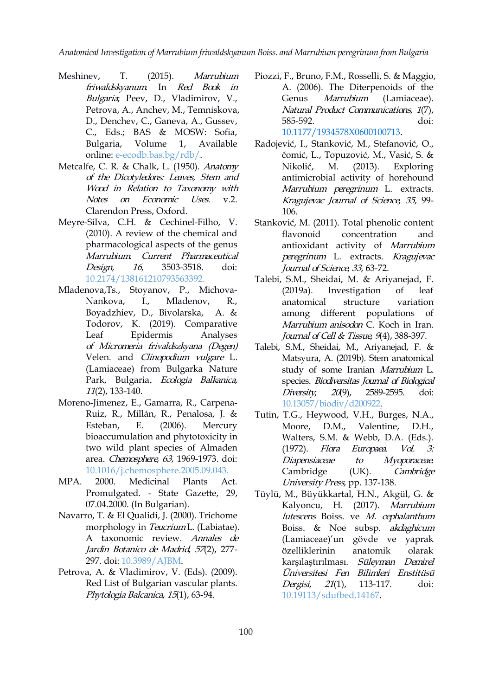- friwaldskyanum. In Red Book in Bulgaria; Peev, D., Vladimirov, V., Petrova, A., Anchev, M., Temniskova, D., Denchev, C., Ganeva, A., Gussev, C., Eds.; BAS & MOSW: Sofia, Bulgaria, Volume 1, Available online: [e-ecodb.bas.bg/rdb/](http://e-ecodb.bas.bg/rdb/bg/vol1/Marfriwa.html).
- Metcalfe, C. R. & Chalk, L. (1950). Anatomy Nikolić, M. of the Dicotyledons: Leaves, Stem and Wood in Relation to Taxonomy with Notes on Economic Uses. v.2. Clarendon Press, Oxfo[rd](https://orcid.org/0000-0002-0717-2548).
- Meyre-Silva, C.H. & Cechinel-Filho, [V](https://orcid.org/0000-0003-2219-761X). (2010). A review of the chemical a[nd](https://orcid.org/0000-0002-9327-4136) pharmacological aspects of the genus Marrubium. Current Pharmaceutical Design, <sup>16</sup>, 3503-3518. doi: [10.2174/138161210793563392.](https://doi.org/10.2174/138161210793563392)
- Mladenova,Ts., Stoyanov, P., Michova- (2019a). Nankova, I., Mladenov, R., Boyadzhiev, D., Bivolarska, А. & Todorov, К. (2019). Comparative Leaf Epidermis Analyses оf Micromeria frivaldszkyana (Degen) Velen. and Clinopodium vulgare L. (Lamiaceae) from Bulgarka Nature Park, Bulgaria. Ecologia Balkanica, 11(2), 133-140.
- Moreno-Jimenez, E., Gamarra, R., Carpena- Ruiz, R., Millán, R., Penalosa, J. & Esteban, E. (2006). Mercury Moore, D.M., bioaccumulation and phytotoxicity in two wild plant species of Almaden (1972). *Flora* area. Chemosphere, 63, 1969-1973. doi: [10.1016/j.chemosphere.2005.09.043.](https://doi.org/10.1016/j.chemosphere.2005.09.043)
- MPA. 2000. Medicinal Plants Act.<br>Promulgated. State Gazette, 29, 07.04.2000. (In Bulgarian).
- Navarro, T. & El Qualidi, J. (2000). Trichome morphology in *Teucrium* L. (Labiatae). A taxonomic review. Annales de Jardin Botanico de Madrid, 57(2), 277-297. doi: [10.3989/AJBM](https://doi.org/10.3989/AJBM.1999.V57.I2.203).
- Petrova, A. & Vladimirov, V. (Eds).(2009). Red List of Bulgarian vascular plants. Phytologia Balcanica, <sup>15</sup>(1), 63-94.
- Meshinev, T. (2015). *Marrubium* Piozzi, F., Bruno, F.M., Rosselli, S. & Maggio, A. (2006). The Diterpenoids of the Genus Marrubium (Lamiaceae). Natural Product Communications, 1(7), 585-592. [doi:](https://doi.org/10.1177%2F1934578X0600100713) 10.1177/1934578X0600100713.
	- Radojević, I., Stanković, M., Stefanović, O., čomić, L., Topuzović, M., Vasić, S. &  $(2013)$ . Exploring antimicrobial activity of horehound Marrubium peregrinum L. extracts. Kr[agu](https://orcid.org/0000-0002-5631-1444)jevac Journal of Science, <sup>35</sup>[,](https://orcid.org/0000-0002-2157-3858) 99- 106.
	- Stanković, M. (2011). Total [p](https://orcid.org/0000-0001-7840-1857)henolic content c[on](https://orcid.org/0000-0003-1344-624X)centration and antioxidant activity of Marrubium peregrinum L. extracts. Kragujevac Journal of Science, 33, 63-72.
	- Talebi, S.M., Sheidai, M. & Ariyanejad, F. Investigation of leaf anatomical structure variation among different populations of Marrubium anisodon C. Koch in Iran. Journal of Cell & Tissue, 9(4), 388-397.
	- Talebi, S.M., Sheidai, M., Ariyanejad, F. & Matsyura, A. (2019b). Stem anatomical study of some Iranian Marrubium L. species. Biodiversitas Journal of Biological Diversity, <sup>20</sup>(9), 2589-2595. doi: [10.13057/biodiv/d200922](http://dx.doi.org/10.13057/biodiv/d200922).
	- Tutin, T.G., Heywood, V.H., Burges, N.A., Valentine, D.H., Walters, S.M. & Webb, D.A. (Eds.). Europaea. Vol. 3: Diapensiaceae to Myoporaceae. Cambridge (UK). Cambridge University Press, pp. 137-138.
	- Tüylü, M., Büyükkartal, H.N., Akgül, G. & Kalyoncu, H. (2017). Marrubium lutescens Boiss. ve M. cephalanthum Boiss. & Noe subsp. akdaghicum (Lamiaceae)'un gövde ve yaprak özelliklerinin anatomik olarak karşılaştırılması. Süleyman Demirel Üniversitesi Fen Bilimleri Enstitüsü Dergisi, <sup>21</sup>(1), 113-117. [doi:](https://doi.org/10.19113/sdufbed.14167) 10.19113/sdufbed.14167.